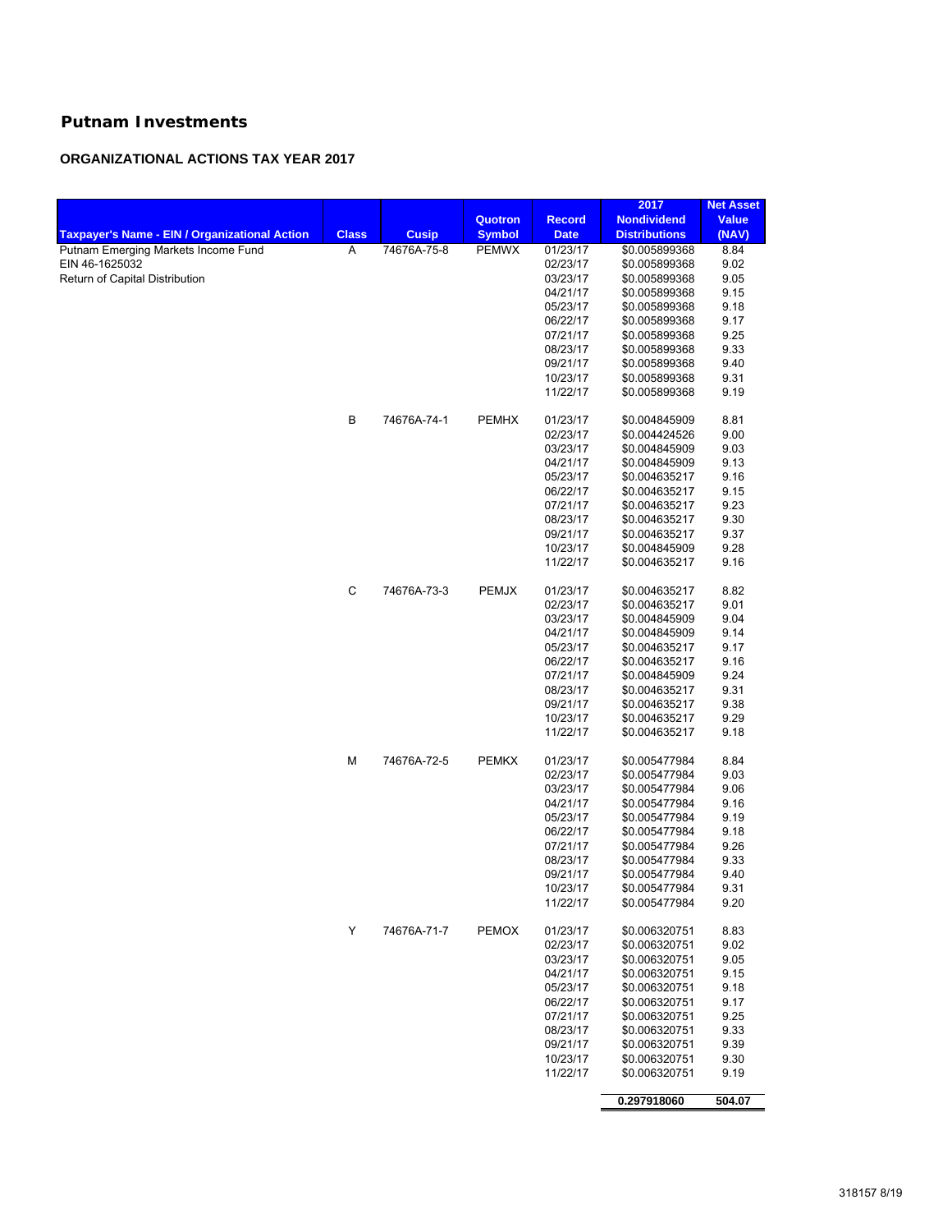## **Putnam Investments**

## **ORGANIZATIONAL ACTIONS TAX YEAR 2017**

|                                                      |              |              |               |               | 2017                 | <b>Net Asset</b> |
|------------------------------------------------------|--------------|--------------|---------------|---------------|----------------------|------------------|
|                                                      |              |              | Quotron       | <b>Record</b> | <b>Nondividend</b>   | <b>Value</b>     |
| <b>Taxpayer's Name - EIN / Organizational Action</b> | <b>Class</b> | <b>Cusip</b> | <b>Symbol</b> | <b>Date</b>   | <b>Distributions</b> | (NAV)            |
| Putnam Emerging Markets Income Fund                  | Α            | 74676A-75-8  | <b>PEMWX</b>  | 01/23/17      | \$0.005899368        | 8.84             |
| EIN 46-1625032                                       |              |              |               | 02/23/17      | \$0.005899368        | 9.02             |
| Return of Capital Distribution                       |              |              |               | 03/23/17      | \$0.005899368        | 9.05             |
|                                                      |              |              |               | 04/21/17      | \$0.005899368        | 9.15             |
|                                                      |              |              |               | 05/23/17      | \$0.005899368        | 9.18             |
|                                                      |              |              |               | 06/22/17      | \$0.005899368        | 9.17             |
|                                                      |              |              |               | 07/21/17      | \$0.005899368        | 9.25             |
|                                                      |              |              |               | 08/23/17      | \$0.005899368        | 9.33             |
|                                                      |              |              |               | 09/21/17      | \$0.005899368        | 9.40             |
|                                                      |              |              |               | 10/23/17      | \$0.005899368        | 9.31             |
|                                                      |              |              |               | 11/22/17      | \$0.005899368        | 9.19             |
|                                                      |              |              |               |               |                      |                  |
|                                                      | В            | 74676A-74-1  | <b>PEMHX</b>  | 01/23/17      | \$0.004845909        | 8.81             |
|                                                      |              |              |               | 02/23/17      | \$0.004424526        | 9.00             |
|                                                      |              |              |               | 03/23/17      | \$0.004845909        | 9.03             |
|                                                      |              |              |               | 04/21/17      | \$0.004845909        | 9.13             |
|                                                      |              |              |               | 05/23/17      | \$0.004635217        | 9.16             |
|                                                      |              |              |               | 06/22/17      | \$0.004635217        | 9.15             |
|                                                      |              |              |               | 07/21/17      | \$0.004635217        | 9.23             |
|                                                      |              |              |               | 08/23/17      | \$0.004635217        | 9.30             |
|                                                      |              |              |               | 09/21/17      | \$0.004635217        | 9.37             |
|                                                      |              |              |               | 10/23/17      | \$0.004845909        | 9.28             |
|                                                      |              |              |               | 11/22/17      | \$0.004635217        | 9.16             |
|                                                      | C            | 74676A-73-3  | <b>PEMJX</b>  | 01/23/17      | \$0.004635217        | 8.82             |
|                                                      |              |              |               | 02/23/17      | \$0.004635217        | 9.01             |
|                                                      |              |              |               | 03/23/17      | \$0.004845909        | 9.04             |
|                                                      |              |              |               | 04/21/17      | \$0.004845909        | 9.14             |
|                                                      |              |              |               | 05/23/17      | \$0.004635217        | 9.17             |
|                                                      |              |              |               | 06/22/17      | \$0.004635217        | 9.16             |
|                                                      |              |              |               | 07/21/17      | \$0.004845909        | 9.24             |
|                                                      |              |              |               | 08/23/17      | \$0.004635217        | 9.31             |
|                                                      |              |              |               | 09/21/17      | \$0.004635217        | 9.38             |
|                                                      |              |              |               | 10/23/17      | \$0.004635217        | 9.29             |
|                                                      |              |              |               | 11/22/17      | \$0.004635217        | 9.18             |
|                                                      | М            | 74676A-72-5  | <b>PEMKX</b>  | 01/23/17      | \$0.005477984        | 8.84             |
|                                                      |              |              |               |               |                      |                  |
|                                                      |              |              |               | 02/23/17      | \$0.005477984        | 9.03             |
|                                                      |              |              |               | 03/23/17      | \$0.005477984        | 9.06             |
|                                                      |              |              |               | 04/21/17      | \$0.005477984        | 9.16             |
|                                                      |              |              |               | 05/23/17      | \$0.005477984        | 9.19             |
|                                                      |              |              |               | 06/22/17      | \$0.005477984        | 9.18             |
|                                                      |              |              |               | 07/21/17      | \$0.005477984        | 9.26             |
|                                                      |              |              |               | 08/23/17      | \$0.005477984        | 9.33             |
|                                                      |              |              |               | 09/21/17      | \$0.005477984        | 9.40             |
|                                                      |              |              |               | 10/23/17      | \$0.005477984        | 9.31             |
|                                                      |              |              |               | 11/22/17      | \$0.005477984        | 9.20             |
|                                                      | Y            | 74676A-71-7  | <b>PEMOX</b>  | 01/23/17      | \$0.006320751        | 8.83             |
|                                                      |              |              |               | 02/23/17      | \$0.006320751        | 9.02             |
|                                                      |              |              |               | 03/23/17      | \$0.006320751        | 9.05             |
|                                                      |              |              |               | 04/21/17      | \$0.006320751        | 9.15             |
|                                                      |              |              |               | 05/23/17      | \$0.006320751        | 9.18             |
|                                                      |              |              |               | 06/22/17      | \$0.006320751        | 9.17             |
|                                                      |              |              |               | 07/21/17      | \$0.006320751        | 9.25             |
|                                                      |              |              |               | 08/23/17      | \$0.006320751        | 9.33             |
|                                                      |              |              |               | 09/21/17      | \$0.006320751        | 9.39             |
|                                                      |              |              |               | 10/23/17      | \$0.006320751        | 9.30             |
|                                                      |              |              |               | 11/22/17      | \$0.006320751        | 9.19             |
|                                                      |              |              |               |               | 0.297918060          | 504.07           |
|                                                      |              |              |               |               |                      |                  |